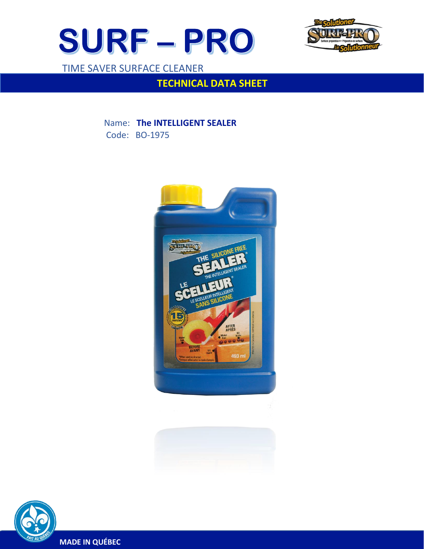



TIME SAVER SURFACE CLEANER

 $\overline{a}$ 

# **TECHNICAL DATA SHEET**

 Name: **The INTELLIGENT SEALER** Code: BO-1975







**MADE IN QUÉBEC**